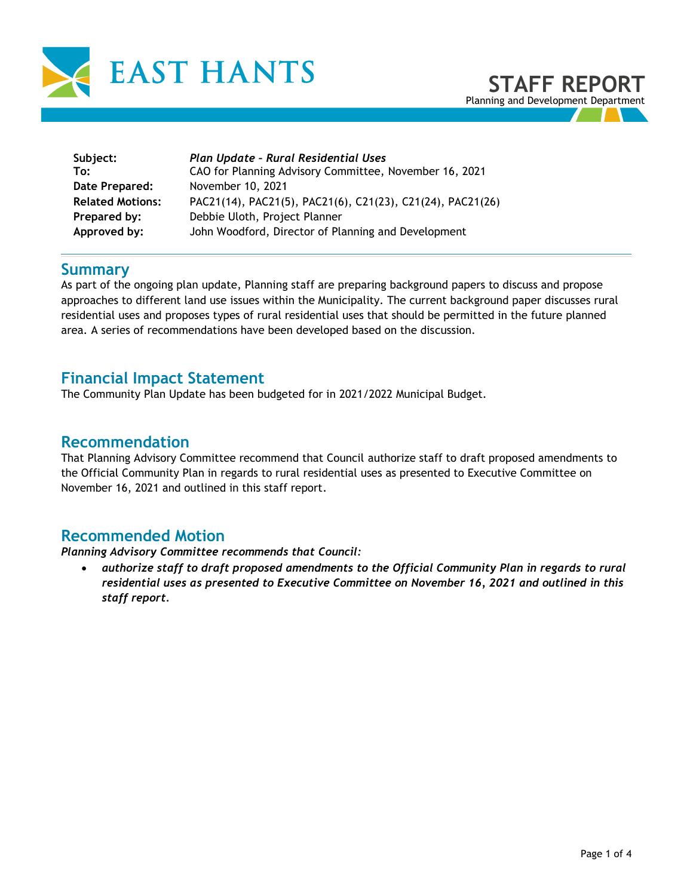

**Subject:** *Plan Update – Rural Residential Uses* **To:** CAO for Planning Advisory Committee, November 16, 2021 **Date Prepared:** November 10, 2021 **Related Motions:** PAC21(14), PAC21(5), PAC21(6), C21(23), C21(24), PAC21(26) **Prepared by:** Debbie Uloth, Project Planner **Approved by:** John Woodford, Director of Planning and Development

### **Summary**

As part of the ongoing plan update, Planning staff are preparing background papers to discuss and propose approaches to different land use issues within the Municipality. The current background paper discusses rural residential uses and proposes types of rural residential uses that should be permitted in the future planned area. A series of recommendations have been developed based on the discussion.

### **Financial Impact Statement**

The Community Plan Update has been budgeted for in 2021/2022 Municipal Budget.

## **Recommendation**

That Planning Advisory Committee recommend that Council authorize staff to draft proposed amendments to the Official Community Plan in regards to rural residential uses as presented to Executive Committee on November 16, 2021 and outlined in this staff report.

# **Recommended Motion**

### *Planning Advisory Committee recommends that Council:*

• *authorize staff to draft proposed amendments to the Official Community Plan in regards to rural residential uses as presented to Executive Committee on November 16, 2021 and outlined in this staff report.*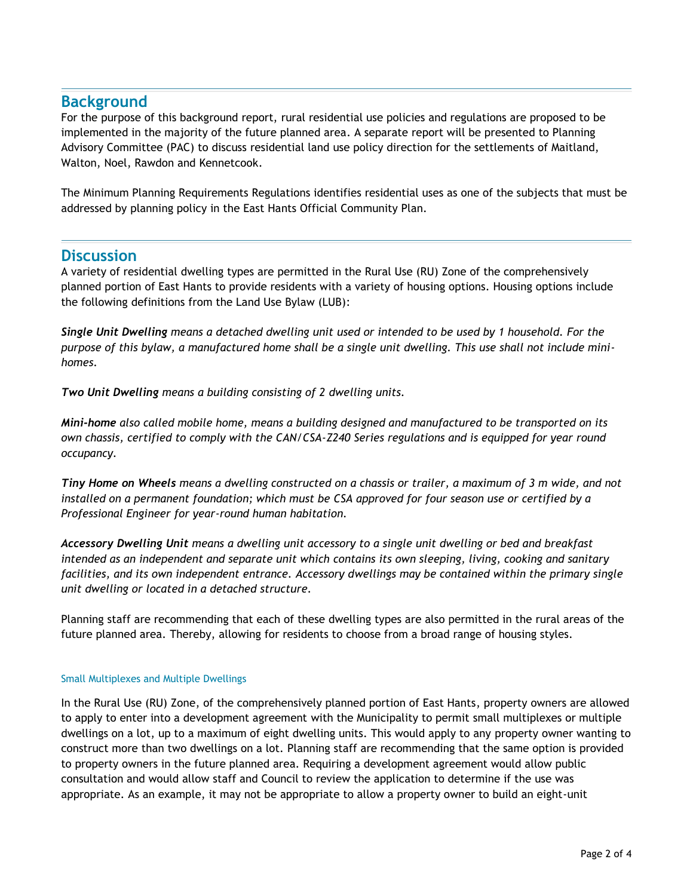### **Background**

For the purpose of this background report, rural residential use policies and regulations are proposed to be implemented in the majority of the future planned area. A separate report will be presented to Planning Advisory Committee (PAC) to discuss residential land use policy direction for the settlements of Maitland, Walton, Noel, Rawdon and Kennetcook.

The Minimum Planning Requirements Regulations identifies residential uses as one of the subjects that must be addressed by planning policy in the East Hants Official Community Plan.

### **Discussion**

A variety of residential dwelling types are permitted in the Rural Use (RU) Zone of the comprehensively planned portion of East Hants to provide residents with a variety of housing options. Housing options include the following definitions from the Land Use Bylaw (LUB):

*Single Unit Dwelling means a detached dwelling unit used or intended to be used by 1 household. For the purpose of this bylaw, a manufactured home shall be a single unit dwelling. This use shall not include minihomes.* 

*Two Unit Dwelling means a building consisting of 2 dwelling units.*

*Mini-home also called mobile home, means a building designed and manufactured to be transported on its own chassis, certified to comply with the CAN/CSA-Z240 Series regulations and is equipped for year round occupancy.* 

*Tiny Home on Wheels means a dwelling constructed on a chassis or trailer, a maximum of 3 m wide, and not installed on a permanent foundation; which must be CSA approved for four season use or certified by a Professional Engineer for year-round human habitation.*

*Accessory Dwelling Unit means a dwelling unit accessory to a single unit dwelling or bed and breakfast intended as an independent and separate unit which contains its own sleeping, living, cooking and sanitary facilities, and its own independent entrance. Accessory dwellings may be contained within the primary single unit dwelling or located in a detached structure.* 

Planning staff are recommending that each of these dwelling types are also permitted in the rural areas of the future planned area. Thereby, allowing for residents to choose from a broad range of housing styles.

### Small Multiplexes and Multiple Dwellings

In the Rural Use (RU) Zone, of the comprehensively planned portion of East Hants, property owners are allowed to apply to enter into a development agreement with the Municipality to permit small multiplexes or multiple dwellings on a lot, up to a maximum of eight dwelling units. This would apply to any property owner wanting to construct more than two dwellings on a lot. Planning staff are recommending that the same option is provided to property owners in the future planned area. Requiring a development agreement would allow public consultation and would allow staff and Council to review the application to determine if the use was appropriate. As an example, it may not be appropriate to allow a property owner to build an eight-unit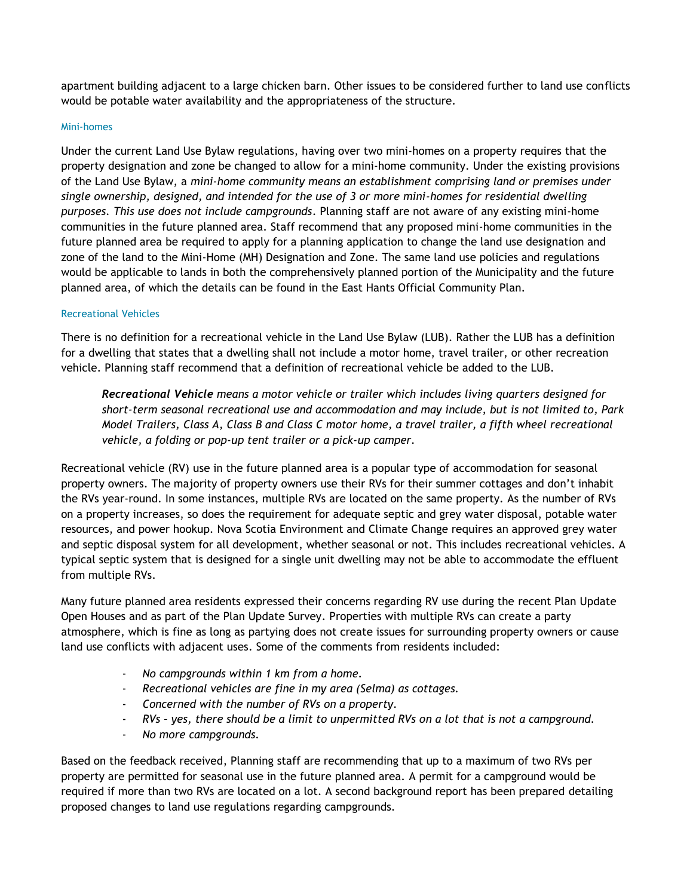apartment building adjacent to a large chicken barn. Other issues to be considered further to land use conflicts would be potable water availability and the appropriateness of the structure.

#### Mini-homes

Under the current Land Use Bylaw regulations, having over two mini-homes on a property requires that the property designation and zone be changed to allow for a mini-home community. Under the existing provisions of the Land Use Bylaw, a *mini-home community means an establishment comprising land or premises under single ownership, designed, and intended for the use of 3 or more mini-homes for residential dwelling purposes. This use does not include campgrounds*. Planning staff are not aware of any existing mini-home communities in the future planned area. Staff recommend that any proposed mini-home communities in the future planned area be required to apply for a planning application to change the land use designation and zone of the land to the Mini-Home (MH) Designation and Zone. The same land use policies and regulations would be applicable to lands in both the comprehensively planned portion of the Municipality and the future planned area, of which the details can be found in the East Hants Official Community Plan.

#### Recreational Vehicles

There is no definition for a recreational vehicle in the Land Use Bylaw (LUB). Rather the LUB has a definition for a dwelling that states that a dwelling shall not include a motor home, travel trailer, or other recreation vehicle. Planning staff recommend that a definition of recreational vehicle be added to the LUB.

*Recreational Vehicle means a motor vehicle or trailer which includes living quarters designed for short-term seasonal recreational use and accommodation and may include, but is not limited to, Park Model Trailers, Class A, Class B and Class C motor home, a travel trailer, a fifth wheel recreational vehicle, a folding or pop-up tent trailer or a pick-up camper.* 

Recreational vehicle (RV) use in the future planned area is a popular type of accommodation for seasonal property owners. The majority of property owners use their RVs for their summer cottages and don't inhabit the RVs year-round. In some instances, multiple RVs are located on the same property. As the number of RVs on a property increases, so does the requirement for adequate septic and grey water disposal, potable water resources, and power hookup. Nova Scotia Environment and Climate Change requires an approved grey water and septic disposal system for all development, whether seasonal or not. This includes recreational vehicles. A typical septic system that is designed for a single unit dwelling may not be able to accommodate the effluent from multiple RVs.

Many future planned area residents expressed their concerns regarding RV use during the recent Plan Update Open Houses and as part of the Plan Update Survey. Properties with multiple RVs can create a party atmosphere, which is fine as long as partying does not create issues for surrounding property owners or cause land use conflicts with adjacent uses. Some of the comments from residents included:

- *No campgrounds within 1 km from a home.*
- *Recreational vehicles are fine in my area (Selma) as cottages.*
- *Concerned with the number of RVs on a property.*
- *RVs – yes, there should be a limit to unpermitted RVs on a lot that is not a campground.*
- *No more campgrounds.*

Based on the feedback received, Planning staff are recommending that up to a maximum of two RVs per property are permitted for seasonal use in the future planned area. A permit for a campground would be required if more than two RVs are located on a lot. A second background report has been prepared detailing proposed changes to land use regulations regarding campgrounds.